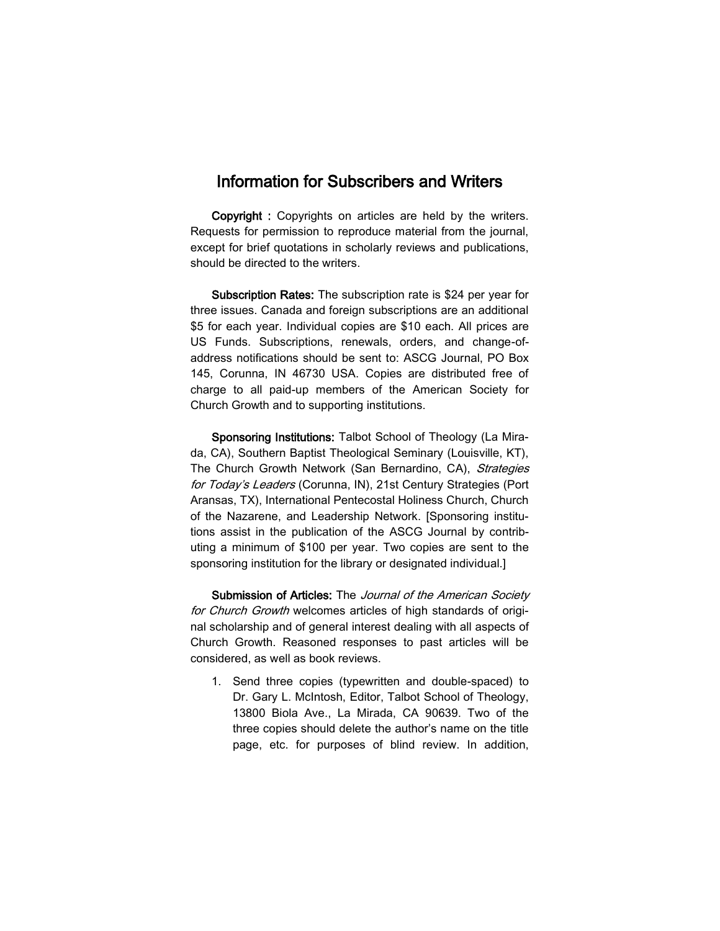## Information for Subscribers and Writers

Copyright : Copyrights on articles are held by the writers. Requests for permission to reproduce material from the journal, except for brief quotations in scholarly reviews and publications, should be directed to the writers.

Subscription Rates: The subscription rate is \$24 per year for three issues. Canada and foreign subscriptions are an additional \$5 for each year. Individual copies are \$10 each. All prices are US Funds. Subscriptions, renewals, orders, and change-ofaddress notifications should be sent to: ASCG Journal, PO Box 145, Corunna, IN 46730 USA. Copies are distributed free of charge to all paid-up members of the American Society for Church Growth and to supporting institutions.

Sponsoring Institutions: Talbot School of Theology (La Mirada, CA), Southern Baptist Theological Seminary (Louisville, KT), The Church Growth Network (San Bernardino, CA), Strategies for Today's Leaders (Corunna, IN), 21st Century Strategies (Port Aransas, TX), International Pentecostal Holiness Church, Church of the Nazarene, and Leadership Network. [Sponsoring institutions assist in the publication of the ASCG Journal by contributing a minimum of \$100 per year. Two copies are sent to the sponsoring institution for the library or designated individual.]

Submission of Articles: The Journal of the American Society for Church Growth welcomes articles of high standards of original scholarship and of general interest dealing with all aspects of Church Growth. Reasoned responses to past articles will be considered, as well as book reviews.

1. Send three copies (typewritten and double-spaced) to Dr. Gary L. McIntosh, Editor, Talbot School of Theology, 13800 Biola Ave., La Mirada, CA 90639. Two of the three copies should delete the author's name on the title page, etc. for purposes of blind review. In addition,